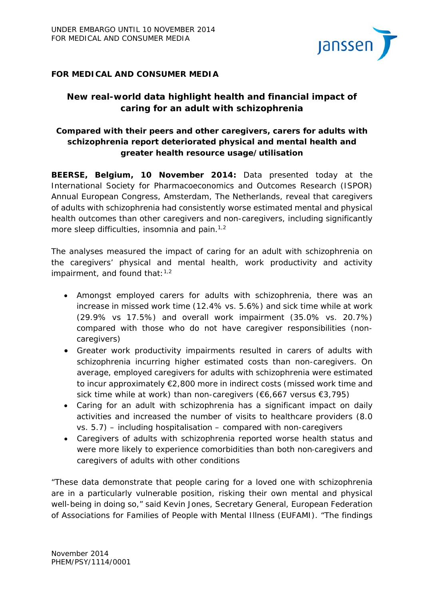

## **FOR MEDICAL AND CONSUMER MEDIA**

# **New real-world data highlight health and financial impact of caring for an adult with schizophrenia**

# *Compared with their peers and other caregivers, carers for adults with schizophrenia report deteriorated physical and mental health and greater health resource usage/utilisation*

**BEERSE, Belgium, 10 November 2014:** Data presented today at the International Society for Pharmacoeconomics and Outcomes Research (ISPOR) Annual European Congress, Amsterdam, The Netherlands, reveal that caregivers of adults with schizophrenia had consistently worse estimated mental and physical health outcomes than other caregivers and non-caregivers, including significantly more sleep difficulties, insomnia and pain. $1,2$ 

The analyses measured the impact of caring for an adult with schizophrenia on the caregivers' physical and mental health, work productivity and activity impairment, and found that:  $1,2$ 

- Amongst employed carers for adults with schizophrenia, there was an increase in missed work time (12.4% vs. 5.6%) and sick time while at work (29.9% vs 17.5%) and overall work impairment (35.0% vs. 20.7%) compared with those who do not have caregiver responsibilities (noncaregivers)
- Greater work productivity impairments resulted in carers of adults with schizophrenia incurring higher estimated costs than non-caregivers. On average, employed caregivers for adults with schizophrenia were estimated to incur approximately €2,800 more in indirect costs (missed work time and sick time while at work) than non-caregivers (€6,667 versus €3,795)
- Caring for an adult with schizophrenia has a significant impact on daily activities and increased the number of visits to healthcare providers (8.0 vs. 5.7) – including hospitalisation – compared with non-caregivers
- Caregivers of adults with schizophrenia reported worse health status and were more likely to experience comorbidities than both non-caregivers and caregivers of adults with other conditions

"These data demonstrate that people caring for a loved one with schizophrenia are in a particularly vulnerable position, risking their own mental and physical well-being in doing so," said Kevin Jones, Secretary General, European Federation of Associations for Families of People with Mental Illness (EUFAMI). "The findings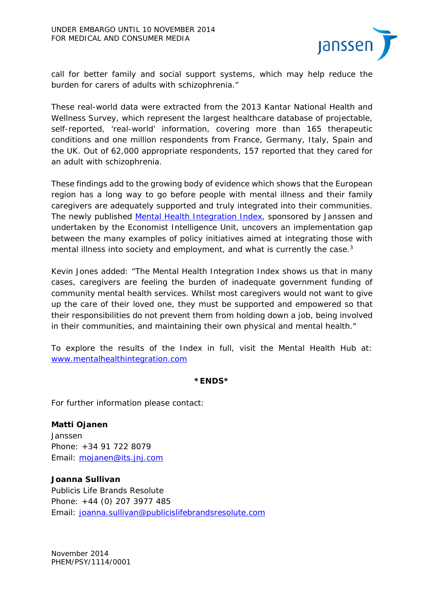

call for better family and social support systems, which may help reduce the burden for carers of adults with schizophrenia."

These real-world data were extracted from the 2013 Kantar National Health and Wellness Survey, which represent the largest healthcare database of projectable, self-reported, 'real-world' information, covering more than 165 therapeutic conditions and one million respondents from France, Germany, Italy, Spain and the UK. Out of 62,000 appropriate respondents, 157 reported that they cared for an adult with schizophrenia.

These findings add to the growing body of evidence which shows that the European region has a long way to go before people with mental illness and their family caregivers are adequately supported and truly integrated into their communities. The newly published Mental Health Integration Index, sponsored by Janssen and undertaken by the Economist Intelligence Unit, uncovers an implementation gap between the many examples of policy initiatives aimed at integrating those with mental illness into society and employment, and what is currently the case.<sup>3</sup>

Kevin Jones added: "The Mental Health Integration Index shows us that in many cases, caregivers are feeling the burden of inadequate government funding of community mental health services. Whilst most caregivers would not want to give up the care of their loved one, they must be supported and empowered so that their responsibilities do not prevent them from holding down a job, being involved in their communities, and maintaining their own physical and mental health."

To explore the results of the Index in full, visit the Mental Health Hub at: www.mentalhealthintegration.com

#### **\*ENDS\***

For further information please contact:

**Matti Ojanen**  Janssen Phone: +34 91 722 8079 Email: mojanen@its.jnj.com

**Joanna Sullivan** 

Publicis Life Brands Resolute Phone: +44 (0) 207 3977 485 Email: joanna.sullivan@publicislifebrandsresolute.com

November 2014 PHEM/PSY/1114/0001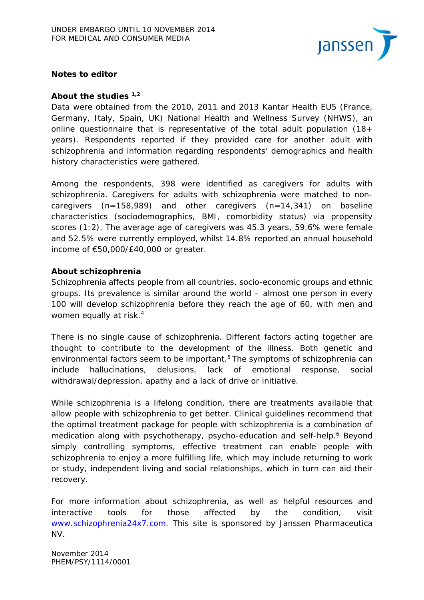

### **Notes to editor**

#### **About the studies 1,2**

Data were obtained from the 2010, 2011 and 2013 Kantar Health EU5 (France, Germany, Italy, Spain, UK) National Health and Wellness Survey (NHWS), an online questionnaire that is representative of the total adult population (18+ years). Respondents reported if they provided care for another adult with schizophrenia and information regarding respondents' demographics and health history characteristics were gathered.

Among the respondents, 398 were identified as caregivers for adults with schizophrenia. Caregivers for adults with schizophrenia were matched to noncaregivers (n=158,989) and other caregivers (n=14,341) on baseline characteristics (sociodemographics, BMI, comorbidity status) via propensity scores (1:2). The average age of caregivers was 45.3 years, 59.6% were female and 52.5% were currently employed, whilst 14.8% reported an annual household income of €50,000/£40,000 or greater.

#### **About schizophrenia**

Schizophrenia affects people from all countries, socio-economic groups and ethnic groups. Its prevalence is similar around the world – almost one person in every 100 will develop schizophrenia before they reach the age of 60, with men and women equally at risk.<sup>4</sup>

There is no single cause of schizophrenia. Different factors acting together are thought to contribute to the development of the illness. Both genetic and environmental factors seem to be important.<sup>5</sup> The symptoms of schizophrenia can include hallucinations, delusions, lack of emotional response, social withdrawal/depression, apathy and a lack of drive or initiative.

While schizophrenia is a lifelong condition, there are treatments available that allow people with schizophrenia to get better. Clinical guidelines recommend that the optimal treatment package for people with schizophrenia is a combination of medication along with psychotherapy, psycho-education and self-help.<sup>6</sup> Beyond simply controlling symptoms, effective treatment can enable people with schizophrenia to enjoy a more fulfilling life, which may include returning to work or study, independent living and social relationships, which in turn can aid their recovery.

For more information about schizophrenia, as well as helpful resources and interactive tools for those affected by the condition, visit www.schizophrenia24x7.com. This site is sponsored by Janssen Pharmaceutica NV.

November 2014 PHEM/PSY/1114/0001